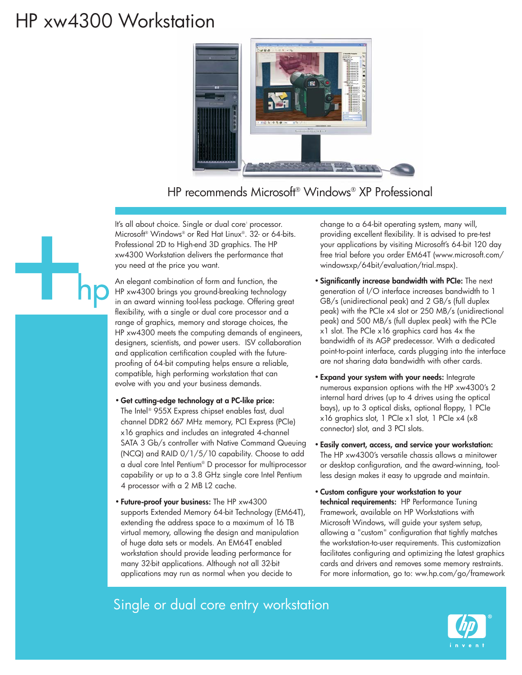## HP xw4300 Workstation



HP recommends Microsoft® Windows® XP Professional

It's all about choice. Single or dual corei processor. Microsoft® Windows® or Red Hat Linux®. 32- or 64-bits. Professional 2D to High-end 3D graphics. The HP xw4300 Workstation delivers the performance that you need at the price you want.

An elegant combination of form and function, the HP xw4300 brings you ground-breaking technology in an award winning tool-less package. Offering great flexibility, with a single or dual core processor and a range of graphics, memory and storage choices, the HP xw4300 meets the computing demands of engineers, designers, scientists, and power users. ISV collaboration and application certification coupled with the futureproofing of 64-bit computing helps ensure a reliable, compatible, high performing workstation that can evolve with you and your business demands.

- **Get cutting-edge technology at a PC-like price:**  The Intel® 955X Express chipset enables fast, dual channel DDR2 667 MHz memory, PCI Express (PCIe) x16 graphics and includes an integrated 4-channel SATA 3 Gb/s controller with Native Command Queuing (NCQ) and RAID 0/1/5/10 capability. Choose to add a dual core Intel Pentium® D processor for multiprocessor capability or up to a 3.8 GHz single core Intel Pentium 4 processor with a 2 MB L2 cache.
- **Future-proof your business:** The HP xw4300 supports Extended Memory 64-bit Technology (EM64T), extending the address space to a maximum of 16 TB virtual memory, allowing the design and manipulation of huge data sets or models. An EM64T enabled workstation should provide leading performance for many 32-bit applications. Although not all 32-bit applications may run as normal when you decide to

change to a 64-bit operating system, many will, providing excellent flexibility. It is advised to pre-test your applications by visiting Microsoft's 64-bit 120 day free trial before you order EM64T (www.microsoft.com/ windowsxp/64bit/evaluation/trial.mspx).

- **Significantly increase bandwidth with PCIe:** The next generation of I/O interface increases bandwidth to 1 GB/s (unidirectional peak) and 2 GB/s (full duplex peak) with the PCIe x4 slot or 250 MB/s (unidirectional peak) and 500 MB/s (full duplex peak) with the PCIe x1 slot. The PCIe x16 graphics card has 4x the bandwidth of its AGP predecessor. With a dedicated point-to-point interface, cards plugging into the interface are not sharing data bandwidth with other cards.
- **Expand your system with your needs:** Integrate numerous expansion options with the HP xw4300's 2 internal hard drives (up to 4 drives using the optical bays), up to 3 optical disks, optional floppy, 1 PCIe x16 graphics slot, 1 PCIe x1 slot, 1 PCIe x4 (x8 connector) slot, and 3 PCI slots.
- **Easily convert, access, and service your workstation:** The HP xw4300's versatile chassis allows a minitower or desktop configuration, and the award-winning, toolless design makes it easy to upgrade and maintain.
- **Custom configure your workstation to your technical requirements:** HP Performance Tuning Framework, available on HP Workstations with Microsoft Windows, will guide your system setup, allowing a "custom" configuration that tightly matches the workstation-to-user requirements. This customization facilitates configuring and optimizing the latest graphics cards and drivers and removes some memory restraints. For more information, go to: ww.hp.com/go/framework

## Single or dual core entry workstation